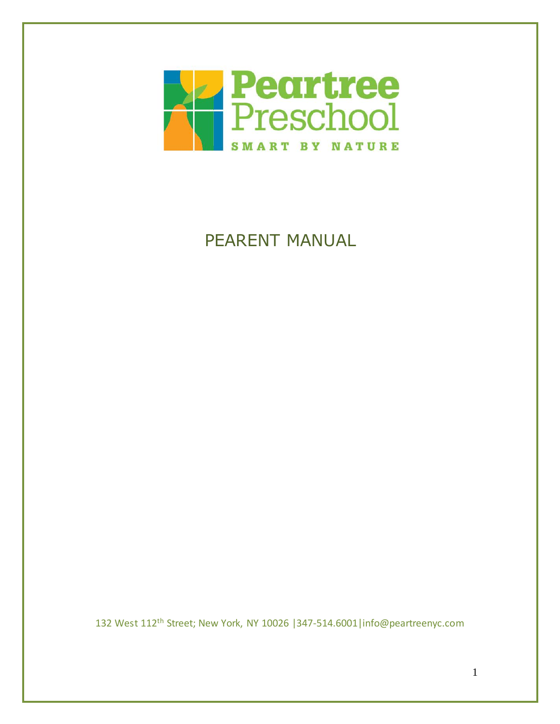

# PEARENT MANUAL

132 West 112th Street; New York, NY 10026 |347-514.6001|info@peartreenyc.com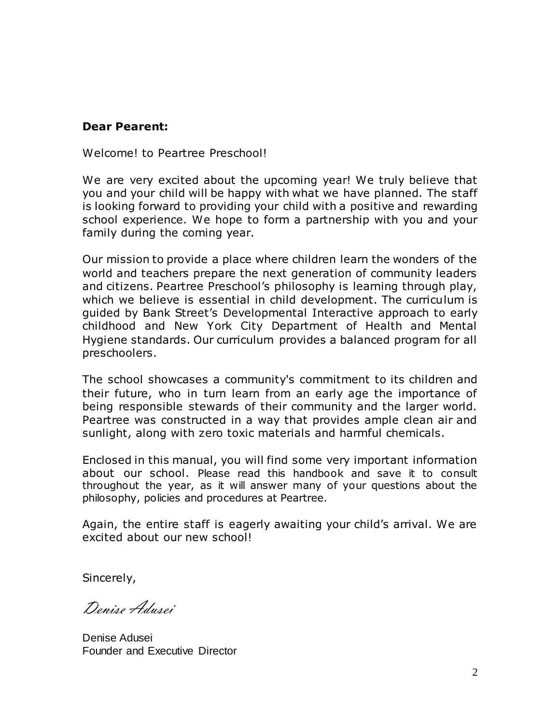# **Dear Pearent:**

Welcome! to Peartree Preschool!

We are very excited about the upcoming year! We truly believe that you and your child will be happy with what we have planned. The staff is looking forward to providing your child with a positive and rewarding school experience. We hope to form a partnership with you and your family during the coming year.

Our mission to provide a place where children learn the wonders of the world and teachers prepare the next generation of community leaders and citizens. Peartree Preschool's philosophy is learning through play, which we believe is essential in child development. The curriculum is guided by Bank Street's Developmental Interactive approach to early childhood and New York City Department of Health and Mental Hygiene standards. Our curriculum provides a balanced program for all preschoolers.

The school showcases a community's commitment to its children and their future, who in turn learn from an early age the importance of being responsible stewards of their community and the larger world. Peartree was constructed in a way that provides ample clean air and sunlight, along with zero toxic materials and harmful chemicals.

Enclosed in this manual, you will find some very important information about our school. Please read this handbook and save it to consult throughout the year, as it will answer many of your questions about the philosophy, policies and procedures at Peartree.

Again, the entire staff is eagerly awaiting your child's arrival. We are excited about our new school!

Sincerely,

Denise Adusei

Denise Adusei Founder and Executive Director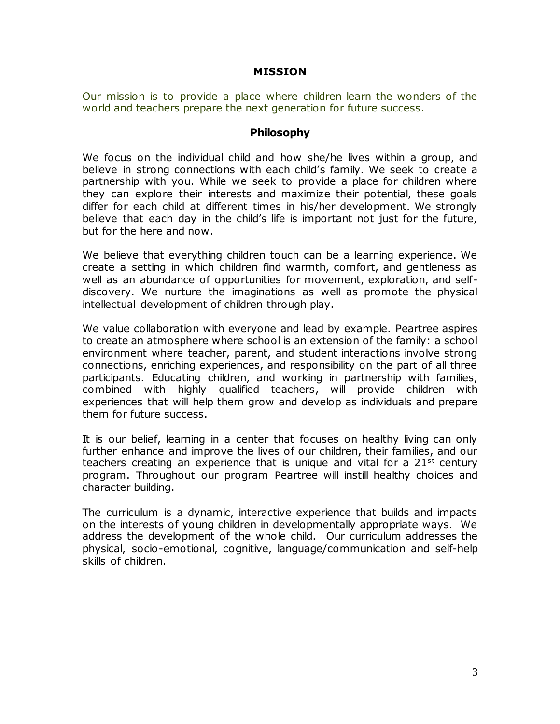#### **MISSION**

Our mission is to provide a place where children learn the wonders of the world and teachers prepare the next generation for future success.

#### **Philosophy**

We focus on the individual child and how she/he lives within a group, and believe in strong connections with each child's family. We seek to create a partnership with you. While we seek to provide a place for children where they can explore their interests and maximize their potential, these goals differ for each child at different times in his/her development. We strongly believe that each day in the child's life is important not just for the future, but for the here and now.

We believe that everything children touch can be a learning experience. We create a setting in which children find warmth, comfort, and gentleness as well as an abundance of opportunities for movement, exploration, and selfdiscovery. We nurture the imaginations as well as promote the physical intellectual development of children through play.

We value collaboration with everyone and lead by example. Peartree aspires to create an atmosphere where school is an extension of the family: a school environment where teacher, parent, and student interactions involve strong connections, enriching experiences, and responsibility on the part of all three participants. Educating children, and working in partnership with families, combined with highly qualified teachers, will provide children with experiences that will help them grow and develop as individuals and prepare them for future success.

It is our belief, learning in a center that focuses on healthy living can only further enhance and improve the lives of our children, their families, and our teachers creating an experience that is unique and vital for a  $21^{st}$  century program. Throughout our program Peartree will instill healthy choices and character building.

The curriculum is a dynamic, interactive experience that builds and impacts on the interests of young children in developmentally appropriate ways. We address the development of the whole child. Our curriculum addresses the physical, socio-emotional, cognitive, language/communication and self-help skills of children.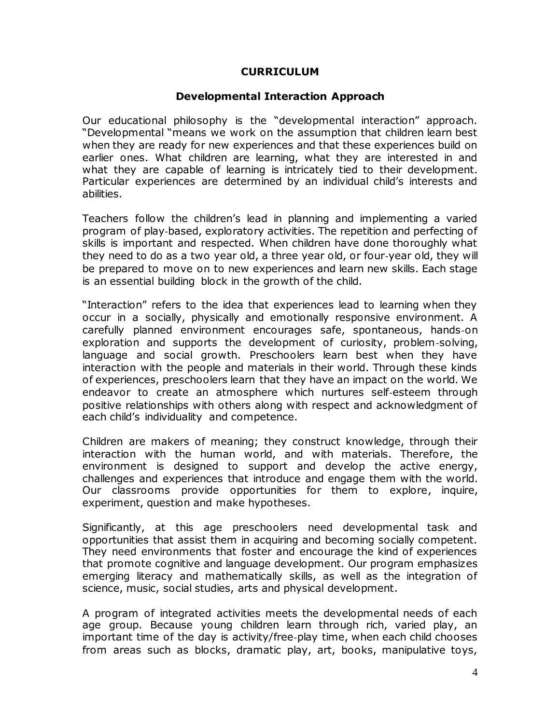#### **CURRICULUM**

#### **Developmental Interaction Approach**

Our educational philosophy is the "developmental interaction" approach. "Developmental "means we work on the assumption that children learn best when they are ready for new experiences and that these experiences build on earlier ones. What children are learning, what they are interested in and what they are capable of learning is intricately tied to their development. Particular experiences are determined by an individual child's interests and abilities.

Teachers follow the children's lead in planning and implementing a varied program of play‐based, exploratory activities. The repetition and perfecting of skills is important and respected. When children have done thoroughly what they need to do as a two year old, a three year old, or four‐year old, they will be prepared to move on to new experiences and learn new skills. Each stage is an essential building block in the growth of the child.

"Interaction" refers to the idea that experiences lead to learning when they occur in a socially, physically and emotionally responsive environment. A carefully planned environment encourages safe, spontaneous, hands‐on exploration and supports the development of curiosity, problem‐solving, language and social growth. Preschoolers learn best when they have interaction with the people and materials in their world. Through these kinds of experiences, preschoolers learn that they have an impact on the world. We endeavor to create an atmosphere which nurtures self‐esteem through positive relationships with others along with respect and acknowledgment of each child's individuality and competence.

Children are makers of meaning; they construct knowledge, through their interaction with the human world, and with materials. Therefore, the environment is designed to support and develop the active energy, challenges and experiences that introduce and engage them with the world. Our classrooms provide opportunities for them to explore, inquire, experiment, question and make hypotheses.

Significantly, at this age preschoolers need developmental task and opportunities that assist them in acquiring and becoming socially competent. They need environments that foster and encourage the kind of experiences that promote cognitive and language development. Our program emphasizes emerging literacy and mathematically skills, as well as the integration of science, music, social studies, arts and physical development.

A program of integrated activities meets the developmental needs of each age group. Because young children learn through rich, varied play, an important time of the day is activity/free‐play time, when each child chooses from areas such as blocks, dramatic play, art, books, manipulative toys,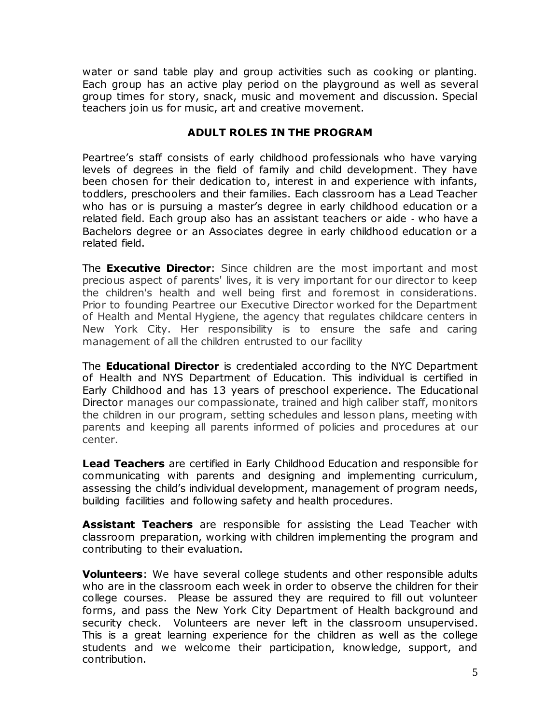water or sand table play and group activities such as cooking or planting. Each group has an active play period on the playground as well as several group times for story, snack, music and movement and discussion. Special teachers join us for music, art and creative movement.

### **ADULT ROLES IN THE PROGRAM**

Peartree's staff consists of early childhood professionals who have varying levels of degrees in the field of family and child development. They have been chosen for their dedication to, interest in and experience with infants, toddlers, preschoolers and their families. Each classroom has a Lead Teacher who has or is pursuing a master's degree in early childhood education or a related field. Each group also has an assistant teachers or aide ‐ who have a Bachelors degree or an Associates degree in early childhood education or a related field.

The **Executive Director**: Since children are the most important and most precious aspect of parents' lives, it is very important for our director to keep the children's health and well being first and foremost in considerations. Prior to founding Peartree our Executive Director worked for the Department of Health and Mental Hygiene, the agency that regulates childcare centers in New York City. Her responsibility is to ensure the safe and caring management of all the children entrusted to our facility

The **Educational Director** is credentialed according to the NYC Department of Health and NYS Department of Education. This individual is certified in Early Childhood and has 13 years of preschool experience. The Educational Director manages our compassionate, trained and high caliber staff, monitors the children in our program, setting schedules and lesson plans, meeting with parents and keeping all parents informed of policies and procedures at our center.

**Lead Teachers** are certified in Early Childhood Education and responsible for communicating with parents and designing and implementing curriculum, assessing the child's individual development, management of program needs, building facilities and following safety and health procedures.

**Assistant Teachers** are responsible for assisting the Lead Teacher with classroom preparation, working with children implementing the program and contributing to their evaluation.

**Volunteers**: We have several college students and other responsible adults who are in the classroom each week in order to observe the children for their college courses. Please be assured they are required to fill out volunteer forms, and pass the New York City Department of Health background and security check. Volunteers are never left in the classroom unsupervised. This is a great learning experience for the children as well as the college students and we welcome their participation, knowledge, support, and contribution.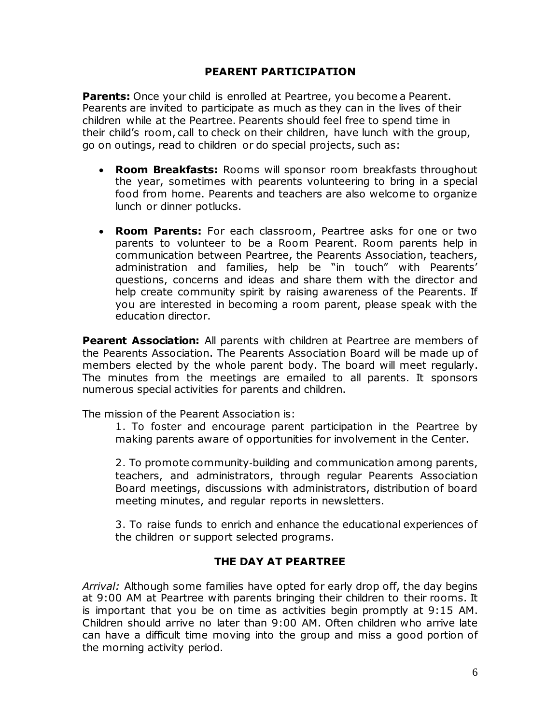#### **PEARENT PARTICIPATION**

**Parents:** Once your child is enrolled at Peartree, you become a Pearent. Pearents are invited to participate as much as they can in the lives of their children while at the Peartree. Pearents should feel free to spend time in their child's room, call to check on their children, have lunch with the group, go on outings, read to children or do special projects, such as:

- **Room Breakfasts:** Rooms will sponsor room breakfasts throughout the year, sometimes with pearents volunteering to bring in a special food from home. Pearents and teachers are also welcome to organize lunch or dinner potlucks.
- **Room Parents:** For each classroom, Peartree asks for one or two parents to volunteer to be a Room Pearent. Room parents help in communication between Peartree, the Pearents Association, teachers, administration and families, help be "in touch" with Pearents' questions, concerns and ideas and share them with the director and help create community spirit by raising awareness of the Pearents. If you are interested in becoming a room parent, please speak with the education director.

**Pearent Association:** All parents with children at Peartree are members of the Pearents Association. The Pearents Association Board will be made up of members elected by the whole parent body. The board will meet regularly. The minutes from the meetings are emailed to all parents. It sponsors numerous special activities for parents and children.

The mission of the Pearent Association is:

1. To foster and encourage parent participation in the Peartree by making parents aware of opportunities for involvement in the Center.

2. To promote community‐building and communication among parents, teachers, and administrators, through regular Pearents Association Board meetings, discussions with administrators, distribution of board meeting minutes, and regular reports in newsletters.

3. To raise funds to enrich and enhance the educational experiences of the children or support selected programs.

#### **THE DAY AT PEARTREE**

*Arrival:* Although some families have opted for early drop off, the day begins at 9:00 AM at Peartree with parents bringing their children to their rooms. It is important that you be on time as activities begin promptly at 9:15 AM. Children should arrive no later than 9:00 AM. Often children who arrive late can have a difficult time moving into the group and miss a good portion of the morning activity period.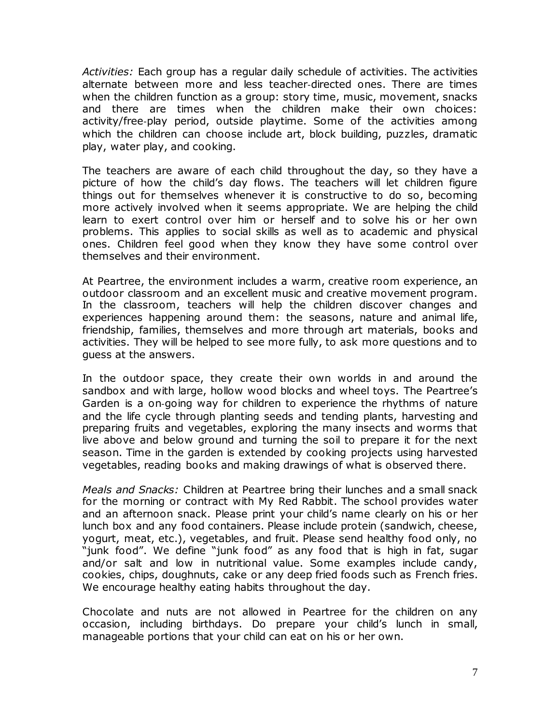*Activities:* Each group has a regular daily schedule of activities. The activities alternate between more and less teacher‐directed ones. There are times when the children function as a group: story time, music, movement, snacks and there are times when the children make their own choices: activity/free‐play period, outside playtime. Some of the activities among which the children can choose include art, block building, puzzles, dramatic play, water play, and cooking.

The teachers are aware of each child throughout the day, so they have a picture of how the child's day flows. The teachers will let children figure things out for themselves whenever it is constructive to do so, becoming more actively involved when it seems appropriate. We are helping the child learn to exert control over him or herself and to solve his or her own problems. This applies to social skills as well as to academic and physical ones. Children feel good when they know they have some control over themselves and their environment.

At Peartree, the environment includes a warm, creative room experience, an outdoor classroom and an excellent music and creative movement program. In the classroom, teachers will help the children discover changes and experiences happening around them: the seasons, nature and animal life, friendship, families, themselves and more through art materials, books and activities. They will be helped to see more fully, to ask more questions and to guess at the answers.

In the outdoor space, they create their own worlds in and around the sandbox and with large, hollow wood blocks and wheel toys. The Peartree's Garden is a on‐going way for children to experience the rhythms of nature and the life cycle through planting seeds and tending plants, harvesting and preparing fruits and vegetables, exploring the many insects and worms that live above and below ground and turning the soil to prepare it for the next season. Time in the garden is extended by cooking projects using harvested vegetables, reading books and making drawings of what is observed there.

*Meals and Snacks:* Children at Peartree bring their lunches and a small snack for the morning or contract with My Red Rabbit. The school provides water and an afternoon snack. Please print your child's name clearly on his or her lunch box and any food containers. Please include protein (sandwich, cheese, yogurt, meat, etc.), vegetables, and fruit. Please send healthy food only, no "junk food". We define "junk food" as any food that is high in fat, sugar and/or salt and low in nutritional value. Some examples include candy, cookies, chips, doughnuts, cake or any deep fried foods such as French fries. We encourage healthy eating habits throughout the day.

Chocolate and nuts are not allowed in Peartree for the children on any occasion, including birthdays. Do prepare your child's lunch in small, manageable portions that your child can eat on his or her own.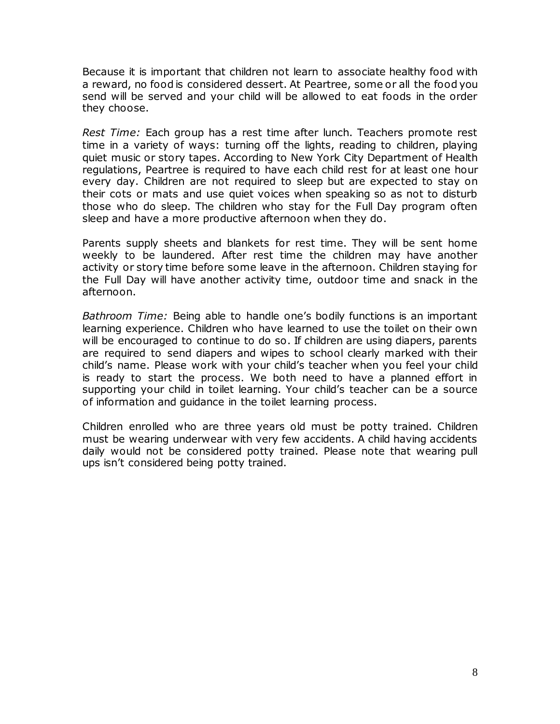Because it is important that children not learn to associate healthy food with a reward, no food is considered dessert. At Peartree, some or all the food you send will be served and your child will be allowed to eat foods in the order they choose.

*Rest Time:* Each group has a rest time after lunch. Teachers promote rest time in a variety of ways: turning off the lights, reading to children, playing quiet music or story tapes. According to New York City Department of Health regulations, Peartree is required to have each child rest for at least one hour every day. Children are not required to sleep but are expected to stay on their cots or mats and use quiet voices when speaking so as not to disturb those who do sleep. The children who stay for the Full Day program often sleep and have a more productive afternoon when they do.

Parents supply sheets and blankets for rest time. They will be sent home weekly to be laundered. After rest time the children may have another activity or story time before some leave in the afternoon. Children staying for the Full Day will have another activity time, outdoor time and snack in the afternoon.

*Bathroom Time:* Being able to handle one's bodily functions is an important learning experience. Children who have learned to use the toilet on their own will be encouraged to continue to do so. If children are using diapers, parents are required to send diapers and wipes to school clearly marked with their child's name. Please work with your child's teacher when you feel your child is ready to start the process. We both need to have a planned effort in supporting your child in toilet learning. Your child's teacher can be a source of information and guidance in the toilet learning process.

Children enrolled who are three years old must be potty trained. Children must be wearing underwear with very few accidents. A child having accidents daily would not be considered potty trained. Please note that wearing pull ups isn't considered being potty trained.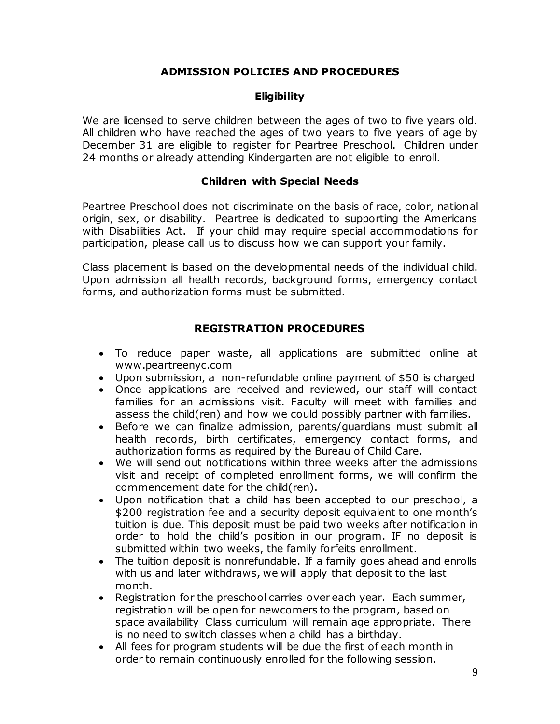## **ADMISSION POLICIES AND PROCEDURES**

#### **Eligibility**

We are licensed to serve children between the ages of two to five years old. All children who have reached the ages of two years to five years of age by December 31 are eligible to register for Peartree Preschool. Children under 24 months or already attending Kindergarten are not eligible to enroll.

#### **Children with Special Needs**

Peartree Preschool does not discriminate on the basis of race, color, national origin, sex, or disability. Peartree is dedicated to supporting the Americans with Disabilities Act. If your child may require special accommodations for participation, please call us to discuss how we can support your family.

Class placement is based on the developmental needs of the individual child. Upon admission all health records, background forms, emergency contact forms, and authorization forms must be submitted.

## **REGISTRATION PROCEDURES**

- To reduce paper waste, all applications are submitted online at www.peartreenyc.com
- Upon submission, a non-refundable online payment of \$50 is charged
- Once applications are received and reviewed, our staff will contact families for an admissions visit. Faculty will meet with families and assess the child(ren) and how we could possibly partner with families.
- Before we can finalize admission, parents/guardians must submit all health records, birth certificates, emergency contact forms, and authorization forms as required by the Bureau of Child Care.
- We will send out notifications within three weeks after the admissions visit and receipt of completed enrollment forms, we will confirm the commencement date for the child(ren).
- Upon notification that a child has been accepted to our preschool, a \$200 registration fee and a security deposit equivalent to one month's tuition is due. This deposit must be paid two weeks after notification in order to hold the child's position in our program. IF no deposit is submitted within two weeks, the family forfeits enrollment.
- The tuition deposit is nonrefundable. If a family goes ahead and enrolls with us and later withdraws, we will apply that deposit to the last month.
- Registration for the preschool carries over each year. Each summer, registration will be open for newcomers to the program, based on space availability Class curriculum will remain age appropriate. There is no need to switch classes when a child has a birthday.
- All fees for program students will be due the first of each month in order to remain continuously enrolled for the following session.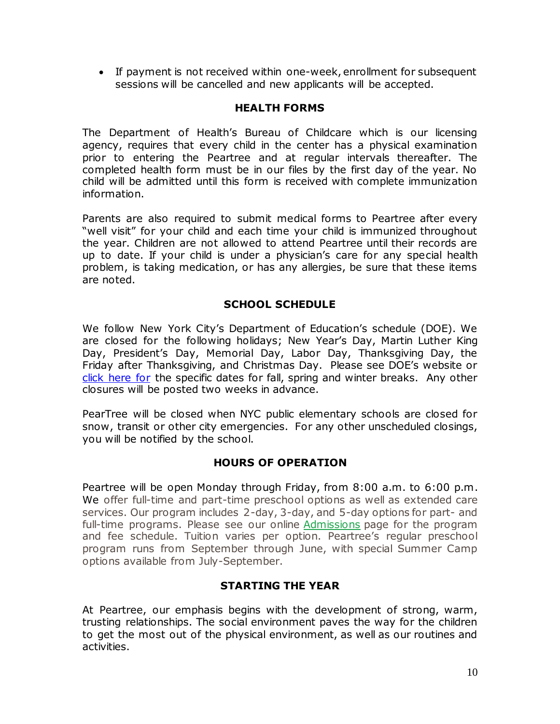If payment is not received within one-week, enrollment for subsequent sessions will be cancelled and new applicants will be accepted.

## **HEALTH FORMS**

The Department of Health's Bureau of Childcare which is our licensing agency, requires that every child in the center has a physical examination prior to entering the Peartree and at regular intervals thereafter. The completed health form must be in our files by the first day of the year. No child will be admitted until this form is received with complete immunization information.

Parents are also required to submit medical forms to Peartree after every "well visit" for your child and each time your child is immunized throughout the year. Children are not allowed to attend Peartree until their records are up to date. If your child is under a physician's care for any special health problem, is taking medication, or has any allergies, be sure that these items are noted.

## **SCHOOL SCHEDULE**

We follow New York City's Department of Education's schedule (DOE). We are closed for the following holidays; New Year's Day, Martin Luther King Day, President's Day, Memorial Day, Labor Day, Thanksgiving Day, the Friday after Thanksgiving, and Christmas Day. Please see DOE's website or [click here for](http://schools.nyc.gov/NR/rdonlyres/CDC0CEFF-CDAE-4941-8448-53D0E9B59F2B/0/20122013SchoolYearCalendar_FinalDraft_3912rev.pdf) the specific dates for fall, spring and winter breaks. Any other closures will be posted two weeks in advance.

PearTree will be closed when NYC public elementary schools are closed for snow, transit or other city emergencies. For any other unscheduled closings, you will be notified by the school.

#### **HOURS OF OPERATION**

Peartree will be open Monday through Friday, from 8:00 a.m. to 6:00 p.m. We offer full-time and part-time preschool options as well as extended care services. Our program includes 2-day, 3-day, and 5-day options for part- and full-time programs. Please see our online [Admissions](http://peartreenyc.com/index.cfm?pID=5929) page for the program and fee schedule. Tuition varies per option. Peartree's regular preschool program runs from September through June, with special Summer Camp options available from July-September.

# **STARTING THE YEAR**

At Peartree, our emphasis begins with the development of strong, warm, trusting relationships. The social environment paves the way for the children to get the most out of the physical environment, as well as our routines and activities.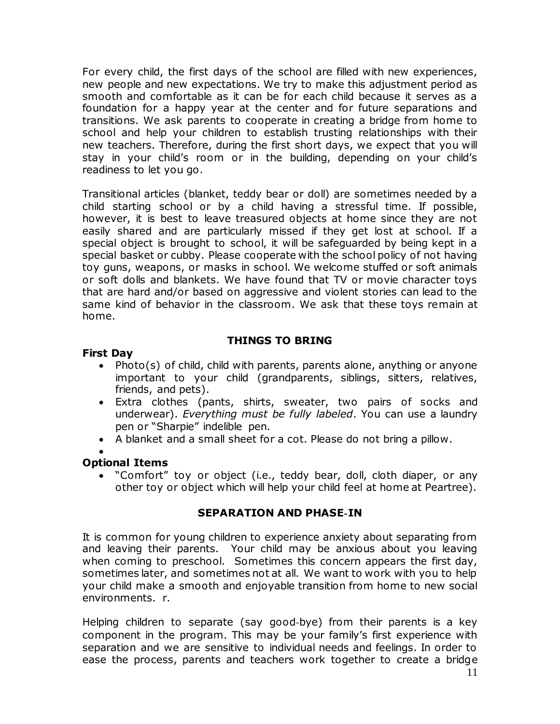For every child, the first days of the school are filled with new experiences, new people and new expectations. We try to make this adjustment period as smooth and comfortable as it can be for each child because it serves as a foundation for a happy year at the center and for future separations and transitions. We ask parents to cooperate in creating a bridge from home to school and help your children to establish trusting relationships with their new teachers. Therefore, during the first short days, we expect that you will stay in your child's room or in the building, depending on your child's readiness to let you go.

Transitional articles (blanket, teddy bear or doll) are sometimes needed by a child starting school or by a child having a stressful time. If possible, however, it is best to leave treasured objects at home since they are not easily shared and are particularly missed if they get lost at school. If a special object is brought to school, it will be safeguarded by being kept in a special basket or cubby. Please cooperate with the school policy of not having toy guns, weapons, or masks in school. We welcome stuffed or soft animals or soft dolls and blankets. We have found that TV or movie character toys that are hard and/or based on aggressive and violent stories can lead to the same kind of behavior in the classroom. We ask that these toys remain at home.

# **THINGS TO BRING**

#### **First Day**

- Photo(s) of child, child with parents, parents alone, anything or anyone important to your child (grandparents, siblings, sitters, relatives, friends, and pets).
- Extra clothes (pants, shirts, sweater, two pairs of socks and underwear). *Everything must be fully labeled*. You can use a laundry pen or "Sharpie" indelible pen.
- A blanket and a small sheet for a cot. Please do not bring a pillow.

#### $\bullet$ **Optional Items**

 "Comfort" toy or object (i.e., teddy bear, doll, cloth diaper, or any other toy or object which will help your child feel at home at Peartree).

#### **SEPARATION AND PHASE**‐**IN**

It is common for young children to experience anxiety about separating from and leaving their parents. Your child may be anxious about you leaving when coming to preschool. Sometimes this concern appears the first day, sometimes later, and sometimes not at all. We want to work with you to help your child make a smooth and enjoyable transition from home to new social environments. r.

Helping children to separate (say good‐bye) from their parents is a key component in the program. This may be your family's first experience with separation and we are sensitive to individual needs and feelings. In order to ease the process, parents and teachers work together to create a bridge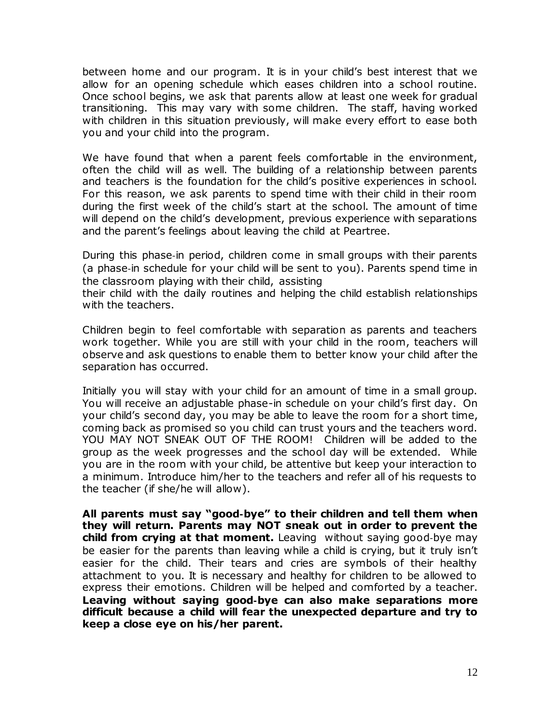between home and our program. It is in your child's best interest that we allow for an opening schedule which eases children into a school routine. Once school begins, we ask that parents allow at least one week for gradual transitioning. This may vary with some children. The staff, having worked with children in this situation previously, will make every effort to ease both you and your child into the program.

We have found that when a parent feels comfortable in the environment, often the child will as well. The building of a relationship between parents and teachers is the foundation for the child's positive experiences in school. For this reason, we ask parents to spend time with their child in their room during the first week of the child's start at the school. The amount of time will depend on the child's development, previous experience with separations and the parent's feelings about leaving the child at Peartree.

During this phase‐in period, children come in small groups with their parents (a phase‐in schedule for your child will be sent to you). Parents spend time in the classroom playing with their child, assisting

their child with the daily routines and helping the child establish relationships with the teachers.

Children begin to feel comfortable with separation as parents and teachers work together. While you are still with your child in the room, teachers will observe and ask questions to enable them to better know your child after the separation has occurred.

Initially you will stay with your child for an amount of time in a small group. You will receive an adjustable phase-in schedule on your child's first day. On your child's second day, you may be able to leave the room for a short time, coming back as promised so you child can trust yours and the teachers word. YOU MAY NOT SNEAK OUT OF THE ROOM! Children will be added to the group as the week progresses and the school day will be extended. While you are in the room with your child, be attentive but keep your interaction to a minimum. Introduce him/her to the teachers and refer all of his requests to the teacher (if she/he will allow).

**All parents must say "good**‐**bye" to their children and tell them when they will return. Parents may NOT sneak out in order to prevent the child from crying at that moment.** Leaving without saying good‐bye may be easier for the parents than leaving while a child is crying, but it truly isn't easier for the child. Their tears and cries are symbols of their healthy attachment to you. It is necessary and healthy for children to be allowed to express their emotions. Children will be helped and comforted by a teacher. **Leaving without saying good**‐**bye can also make separations more difficult because a child will fear the unexpected departure and try to keep a close eye on his/her parent.**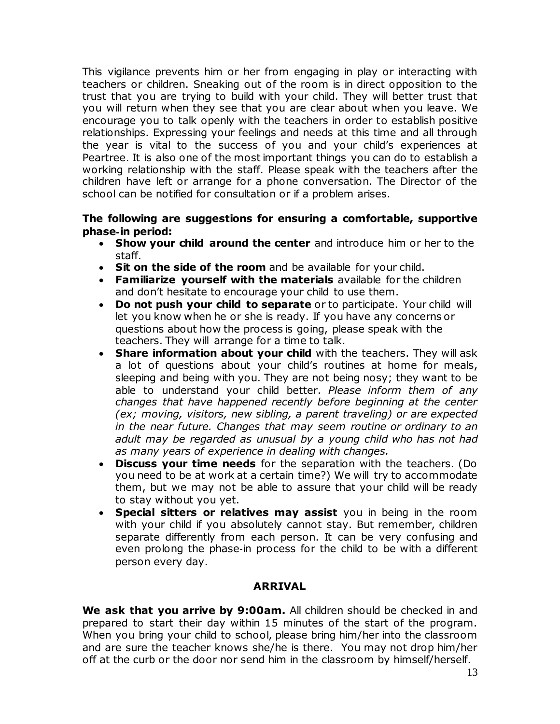This vigilance prevents him or her from engaging in play or interacting with teachers or children. Sneaking out of the room is in direct opposition to the trust that you are trying to build with your child. They will better trust that you will return when they see that you are clear about when you leave. We encourage you to talk openly with the teachers in order to establish positive relationships. Expressing your feelings and needs at this time and all through the year is vital to the success of you and your child's experiences at Peartree. It is also one of the most important things you can do to establish a working relationship with the staff. Please speak with the teachers after the children have left or arrange for a phone conversation. The Director of the school can be notified for consultation or if a problem arises.

#### **The following are suggestions for ensuring a comfortable, supportive phase**‐**in period:**

- **Show your child around the center** and introduce him or her to the staff.
- **Sit on the side of the room** and be available for your child.
- **Familiarize yourself with the materials** available for the children and don't hesitate to encourage your child to use them.
- **Do not push your child to separate** or to participate. Your child will let you know when he or she is ready. If you have any concerns or questions about how the process is going, please speak with the teachers. They will arrange for a time to talk.
- **Share information about your child** with the teachers. They will ask a lot of questions about your child's routines at home for meals, sleeping and being with you. They are not being nosy; they want to be able to understand your child better. *Please inform them of any changes that have happened recently before beginning at the center (ex; moving, visitors, new sibling, a parent traveling) or are expected in the near future. Changes that may seem routine or ordinary to an adult may be regarded as unusual by a young child who has not had as many years of experience in dealing with changes.*
- **Discuss your time needs** for the separation with the teachers. (Do you need to be at work at a certain time?) We will try to accommodate them, but we may not be able to assure that your child will be ready to stay without you yet.
- **Special sitters or relatives may assist** you in being in the room with your child if you absolutely cannot stay. But remember, children separate differently from each person. It can be very confusing and even prolong the phase‐in process for the child to be with a different person every day.

#### **ARRIVAL**

**We ask that you arrive by 9:00am.** All children should be checked in and prepared to start their day within 15 minutes of the start of the program. When you bring your child to school, please bring him/her into the classroom and are sure the teacher knows she/he is there. You may not drop him/her off at the curb or the door nor send him in the classroom by himself/herself.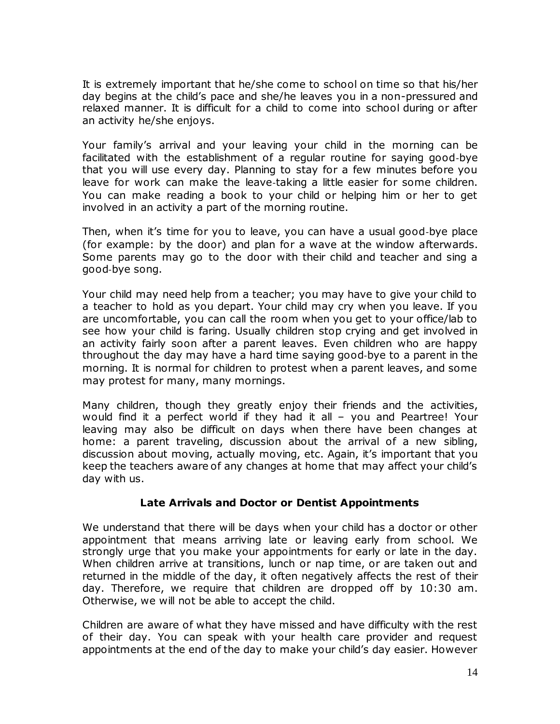It is extremely important that he/she come to school on time so that his/her day begins at the child's pace and she/he leaves you in a non-pressured and relaxed manner. It is difficult for a child to come into school during or after an activity he/she enjoys.

Your family's arrival and your leaving your child in the morning can be facilitated with the establishment of a regular routine for saying good‐bye that you will use every day. Planning to stay for a few minutes before you leave for work can make the leave-taking a little easier for some children. You can make reading a book to your child or helping him or her to get involved in an activity a part of the morning routine.

Then, when it's time for you to leave, you can have a usual good‐bye place (for example: by the door) and plan for a wave at the window afterwards. Some parents may go to the door with their child and teacher and sing a good‐bye song.

Your child may need help from a teacher; you may have to give your child to a teacher to hold as you depart. Your child may cry when you leave. If you are uncomfortable, you can call the room when you get to your office/lab to see how your child is faring. Usually children stop crying and get involved in an activity fairly soon after a parent leaves. Even children who are happy throughout the day may have a hard time saying good‐bye to a parent in the morning. It is normal for children to protest when a parent leaves, and some may protest for many, many mornings.

Many children, though they greatly enjoy their friends and the activities, would find it a perfect world if they had it all – you and Peartree! Your leaving may also be difficult on days when there have been changes at home: a parent traveling, discussion about the arrival of a new sibling, discussion about moving, actually moving, etc. Again, it's important that you keep the teachers aware of any changes at home that may affect your child's day with us.

#### **Late Arrivals and Doctor or Dentist Appointments**

We understand that there will be days when your child has a doctor or other appointment that means arriving late or leaving early from school. We strongly urge that you make your appointments for early or late in the day. When children arrive at transitions, lunch or nap time, or are taken out and returned in the middle of the day, it often negatively affects the rest of their day. Therefore, we require that children are dropped off by 10:30 am. Otherwise, we will not be able to accept the child.

Children are aware of what they have missed and have difficulty with the rest of their day. You can speak with your health care provider and request appointments at the end of the day to make your child's day easier. However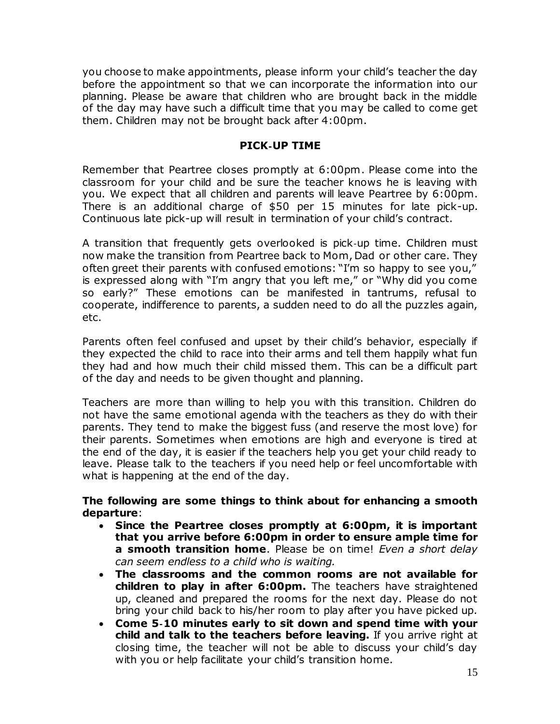you choose to make appointments, please inform your child's teacher the day before the appointment so that we can incorporate the information into our planning. Please be aware that children who are brought back in the middle of the day may have such a difficult time that you may be called to come get them. Children may not be brought back after 4:00pm.

### **PICK**‐**UP TIME**

Remember that Peartree closes promptly at 6:00pm. Please come into the classroom for your child and be sure the teacher knows he is leaving with you. We expect that all children and parents will leave Peartree by 6:00pm. There is an additional charge of \$50 per 15 minutes for late pick-up. Continuous late pick-up will result in termination of your child's contract.

A transition that frequently gets overlooked is pick‐up time. Children must now make the transition from Peartree back to Mom, Dad or other care. They often greet their parents with confused emotions: "I'm so happy to see you," is expressed along with "I'm angry that you left me," or "Why did you come so early?" These emotions can be manifested in tantrums, refusal to cooperate, indifference to parents, a sudden need to do all the puzzles again, etc.

Parents often feel confused and upset by their child's behavior, especially if they expected the child to race into their arms and tell them happily what fun they had and how much their child missed them. This can be a difficult part of the day and needs to be given thought and planning.

Teachers are more than willing to help you with this transition. Children do not have the same emotional agenda with the teachers as they do with their parents. They tend to make the biggest fuss (and reserve the most love) for their parents. Sometimes when emotions are high and everyone is tired at the end of the day, it is easier if the teachers help you get your child ready to leave. Please talk to the teachers if you need help or feel uncomfortable with what is happening at the end of the day.

#### **The following are some things to think about for enhancing a smooth departure**:

- **Since the Peartree closes promptly at 6:00pm, it is important that you arrive before 6:00pm in order to ensure ample time for a smooth transition home**. Please be on time! *Even a short delay can seem endless to a child who is waiting.*
- **The classrooms and the common rooms are not available for children to play in after 6:00pm.** The teachers have straightened up, cleaned and prepared the rooms for the next day. Please do not bring your child back to his/her room to play after you have picked up.
- **Come 5**‐**10 minutes early to sit down and spend time with your child and talk to the teachers before leaving.** If you arrive right at closing time, the teacher will not be able to discuss your child's day with you or help facilitate your child's transition home.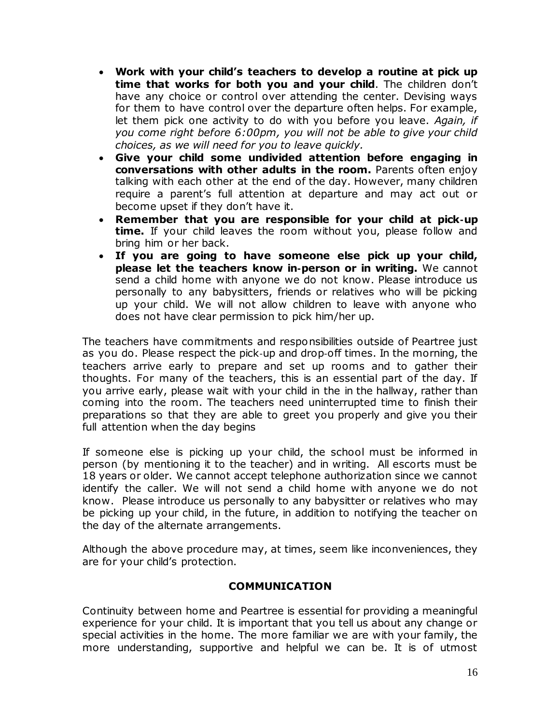- **Work with your child's teachers to develop a routine at pick up time that works for both you and your child**. The children don't have any choice or control over attending the center. Devising ways for them to have control over the departure often helps. For example, let them pick one activity to do with you before you leave. *Again, if you come right before 6:00pm, you will not be able to give your child choices, as we will need for you to leave quickly.*
- **Give your child some undivided attention before engaging in conversations with other adults in the room.** Parents often enjoy talking with each other at the end of the day. However, many children require a parent's full attention at departure and may act out or become upset if they don't have it.
- **Remember that you are responsible for your child at pick**‐**up time.** If your child leaves the room without you, please follow and bring him or her back.
- **If you are going to have someone else pick up your child, please let the teachers know in**‐**person or in writing.** We cannot send a child home with anyone we do not know. Please introduce us personally to any babysitters, friends or relatives who will be picking up your child. We will not allow children to leave with anyone who does not have clear permission to pick him/her up.

The teachers have commitments and responsibilities outside of Peartree just as you do. Please respect the pick‐up and drop‐off times. In the morning, the teachers arrive early to prepare and set up rooms and to gather their thoughts. For many of the teachers, this is an essential part of the day. If you arrive early, please wait with your child in the in the hallway, rather than coming into the room. The teachers need uninterrupted time to finish their preparations so that they are able to greet you properly and give you their full attention when the day begins

If someone else is picking up your child, the school must be informed in person (by mentioning it to the teacher) and in writing. All escorts must be 18 years or older. We cannot accept telephone authorization since we cannot identify the caller. We will not send a child home with anyone we do not know. Please introduce us personally to any babysitter or relatives who may be picking up your child, in the future, in addition to notifying the teacher on the day of the alternate arrangements.

Although the above procedure may, at times, seem like inconveniences, they are for your child's protection.

# **COMMUNICATION**

Continuity between home and Peartree is essential for providing a meaningful experience for your child. It is important that you tell us about any change or special activities in the home. The more familiar we are with your family, the more understanding, supportive and helpful we can be. It is of utmost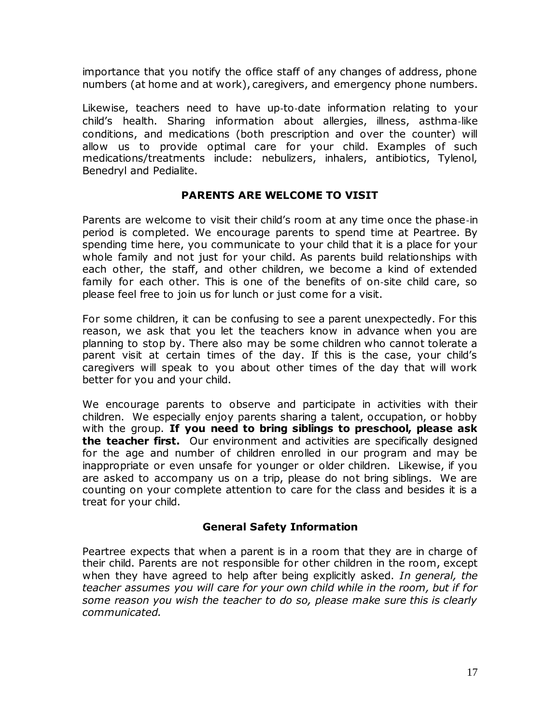importance that you notify the office staff of any changes of address, phone numbers (at home and at work), caregivers, and emergency phone numbers.

Likewise, teachers need to have up‐to‐date information relating to your child's health. Sharing information about allergies, illness, asthma‐like conditions, and medications (both prescription and over the counter) will allow us to provide optimal care for your child. Examples of such medications/treatments include: nebulizers, inhalers, antibiotics, Tylenol, Benedryl and Pedialite.

## **PARENTS ARE WELCOME TO VISIT**

Parents are welcome to visit their child's room at any time once the phase‐in period is completed. We encourage parents to spend time at Peartree. By spending time here, you communicate to your child that it is a place for your whole family and not just for your child. As parents build relationships with each other, the staff, and other children, we become a kind of extended family for each other. This is one of the benefits of on‐site child care, so please feel free to join us for lunch or just come for a visit.

For some children, it can be confusing to see a parent unexpectedly. For this reason, we ask that you let the teachers know in advance when you are planning to stop by. There also may be some children who cannot tolerate a parent visit at certain times of the day. If this is the case, your child's caregivers will speak to you about other times of the day that will work better for you and your child.

We encourage parents to observe and participate in activities with their children. We especially enjoy parents sharing a talent, occupation, or hobby with the group. **If you need to bring siblings to preschool, please ask the teacher first.** Our environment and activities are specifically designed for the age and number of children enrolled in our program and may be inappropriate or even unsafe for younger or older children. Likewise, if you are asked to accompany us on a trip, please do not bring siblings. We are counting on your complete attention to care for the class and besides it is a treat for your child.

# **General Safety Information**

Peartree expects that when a parent is in a room that they are in charge of their child. Parents are not responsible for other children in the room, except when they have agreed to help after being explicitly asked. *In general, the teacher assumes you will care for your own child while in the room, but if for some reason you wish the teacher to do so, please make sure this is clearly communicated.*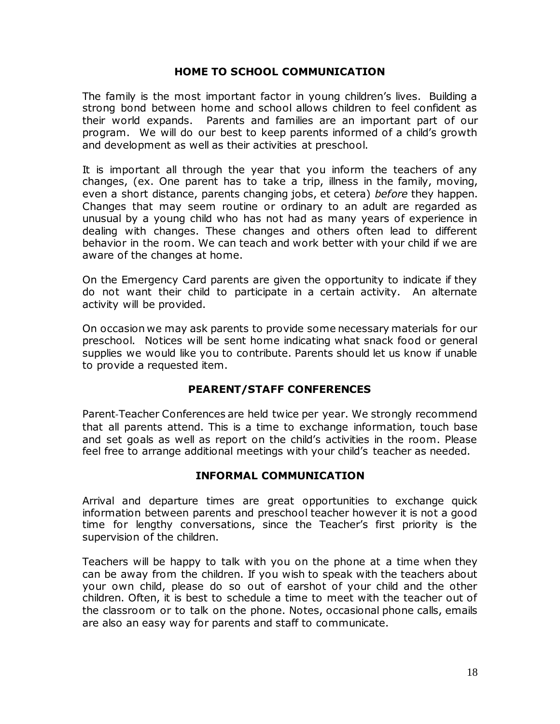#### **HOME TO SCHOOL COMMUNICATION**

The family is the most important factor in young children's lives. Building a strong bond between home and school allows children to feel confident as their world expands. Parents and families are an important part of our program. We will do our best to keep parents informed of a child's growth and development as well as their activities at preschool.

It is important all through the year that you inform the teachers of any changes, (ex. One parent has to take a trip, illness in the family, moving, even a short distance, parents changing jobs, et cetera) *before* they happen. Changes that may seem routine or ordinary to an adult are regarded as unusual by a young child who has not had as many years of experience in dealing with changes. These changes and others often lead to different behavior in the room. We can teach and work better with your child if we are aware of the changes at home.

On the Emergency Card parents are given the opportunity to indicate if they do not want their child to participate in a certain activity. An alternate activity will be provided.

On occasion we may ask parents to provide some necessary materials for our preschool. Notices will be sent home indicating what snack food or general supplies we would like you to contribute. Parents should let us know if unable to provide a requested item.

#### **PEARENT/STAFF CONFERENCES**

Parent‐Teacher Conferences are held twice per year. We strongly recommend that all parents attend. This is a time to exchange information, touch base and set goals as well as report on the child's activities in the room. Please feel free to arrange additional meetings with your child's teacher as needed.

#### **INFORMAL COMMUNICATION**

Arrival and departure times are great opportunities to exchange quick information between parents and preschool teacher however it is not a good time for lengthy conversations, since the Teacher's first priority is the supervision of the children.

Teachers will be happy to talk with you on the phone at a time when they can be away from the children. If you wish to speak with the teachers about your own child, please do so out of earshot of your child and the other children. Often, it is best to schedule a time to meet with the teacher out of the classroom or to talk on the phone. Notes, occasional phone calls, emails are also an easy way for parents and staff to communicate.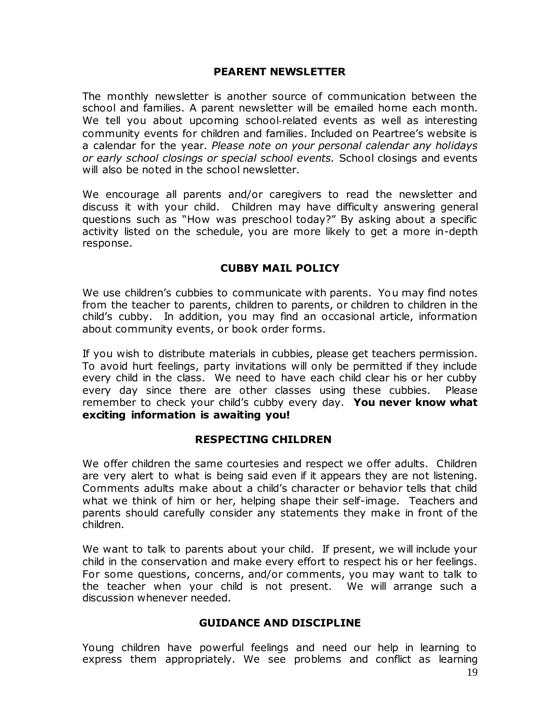#### **PEARENT NEWSLETTER**

The monthly newsletter is another source of communication between the school and families. A parent newsletter will be emailed home each month. We tell you about upcoming school-related events as well as interesting community events for children and families. Included on Peartree's website is a calendar for the year. *Please note on your personal calendar any holidays or early school closings or special school events.* School closings and events will also be noted in the school newsletter.

We encourage all parents and/or caregivers to read the newsletter and discuss it with your child. Children may have difficulty answering general questions such as "How was preschool today?" By asking about a specific activity listed on the schedule, you are more likely to get a more in-depth response.

#### **CUBBY MAIL POLICY**

We use children's cubbies to communicate with parents. You may find notes from the teacher to parents, children to parents, or children to children in the child's cubby. In addition, you may find an occasional article, information about community events, or book order forms.

If you wish to distribute materials in cubbies, please get teachers permission. To avoid hurt feelings, party invitations will only be permitted if they include every child in the class. We need to have each child clear his or her cubby every day since there are other classes using these cubbies. Please remember to check your child's cubby every day. **You never know what exciting information is awaiting you!**

#### **RESPECTING CHILDREN**

We offer children the same courtesies and respect we offer adults. Children are very alert to what is being said even if it appears they are not listening. Comments adults make about a child's character or behavior tells that child what we think of him or her, helping shape their self-image. Teachers and parents should carefully consider any statements they make in front of the children.

We want to talk to parents about your child. If present, we will include your child in the conservation and make every effort to respect his or her feelings. For some questions, concerns, and/or comments, you may want to talk to the teacher when your child is not present. We will arrange such a discussion whenever needed.

#### **GUIDANCE AND DISCIPLINE**

Young children have powerful feelings and need our help in learning to express them appropriately. We see problems and conflict as learning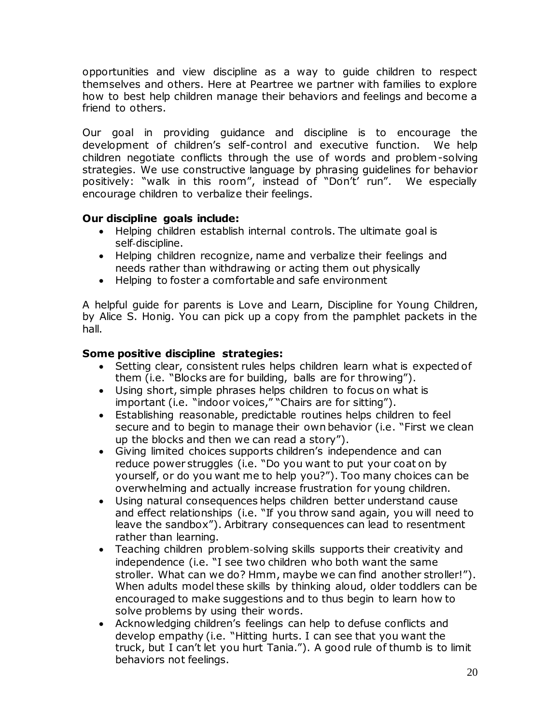opportunities and view discipline as a way to guide children to respect themselves and others. Here at Peartree we partner with families to explore how to best help children manage their behaviors and feelings and become a friend to others.

Our goal in providing guidance and discipline is to encourage the development of children's self-control and executive function. We help children negotiate conflicts through the use of words and problem-solving strategies. We use constructive language by phrasing guidelines for behavior positively: "walk in this room", instead of "Don't' run". We especially encourage children to verbalize their feelings.

## **Our discipline goals include:**

- Helping children establish internal controls. The ultimate goal is self‐discipline.
- Helping children recognize, name and verbalize their feelings and needs rather than withdrawing or acting them out physically
- Helping to foster a comfortable and safe environment

A helpful guide for parents is Love and Learn, Discipline for Young Children, by Alice S. Honig. You can pick up a copy from the pamphlet packets in the hall.

## **Some positive discipline strategies:**

- Setting clear, consistent rules helps children learn what is expected of them (i.e. "Blocks are for building, balls are for throwing").
- Using short, simple phrases helps children to focus on what is important (i.e. "indoor voices," "Chairs are for sitting").
- Establishing reasonable, predictable routines helps children to feel secure and to begin to manage their own behavior (i.e. "First we clean up the blocks and then we can read a story").
- Giving limited choices supports children's independence and can reduce power struggles (i.e. "Do you want to put your coat on by yourself, or do you want me to help you?"). Too many choices can be overwhelming and actually increase frustration for young children.
- Using natural consequences helps children better understand cause and effect relationships (i.e. "If you throw sand again, you will need to leave the sandbox"). Arbitrary consequences can lead to resentment rather than learning.
- Teaching children problem-solving skills supports their creativity and independence (i.e. "I see two children who both want the same stroller. What can we do? Hmm, maybe we can find another stroller!"). When adults model these skills by thinking aloud, older toddlers can be encouraged to make suggestions and to thus begin to learn how to solve problems by using their words.
- Acknowledging children's feelings can help to defuse conflicts and develop empathy (i.e. "Hitting hurts. I can see that you want the truck, but I can't let you hurt Tania."). A good rule of thumb is to limit behaviors not feelings.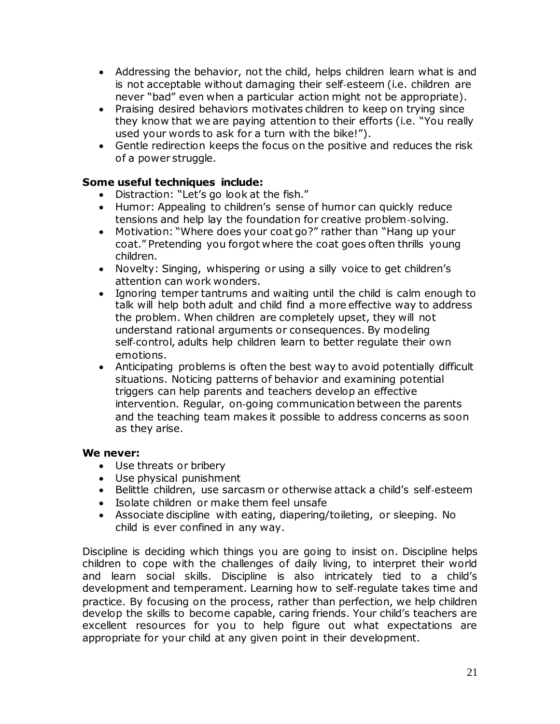- Addressing the behavior, not the child, helps children learn what is and is not acceptable without damaging their self‐esteem (i.e. children are never "bad" even when a particular action might not be appropriate).
- Praising desired behaviors motivates children to keep on trying since they know that we are paying attention to their efforts (i.e. "You really used your words to ask for a turn with the bike!").
- Gentle redirection keeps the focus on the positive and reduces the risk of a power struggle.

## **Some useful techniques include:**

- Distraction: "Let's go look at the fish."
- Humor: Appealing to children's sense of humor can quickly reduce tensions and help lay the foundation for creative problem‐solving.
- Motivation: "Where does your coat go?" rather than "Hang up your coat." Pretending you forgot where the coat goes often thrills young children.
- Novelty: Singing, whispering or using a silly voice to get children's attention can work wonders.
- Ignoring temper tantrums and waiting until the child is calm enough to talk will help both adult and child find a more effective way to address the problem. When children are completely upset, they will not understand rational arguments or consequences. By modeling self-control, adults help children learn to better regulate their own emotions.
- Anticipating problems is often the best way to avoid potentially difficult situations. Noticing patterns of behavior and examining potential triggers can help parents and teachers develop an effective intervention. Regular, on‐going communication between the parents and the teaching team makes it possible to address concerns as soon as they arise.

#### **We never:**

- Use threats or bribery
- Use physical punishment
- Belittle children, use sarcasm or otherwise attack a child's self-esteem
- Isolate children or make them feel unsafe
- Associate discipline with eating, diapering/toileting, or sleeping. No child is ever confined in any way.

Discipline is deciding which things you are going to insist on. Discipline helps children to cope with the challenges of daily living, to interpret their world and learn social skills. Discipline is also intricately tied to a child's development and temperament. Learning how to self‐regulate takes time and practice. By focusing on the process, rather than perfection, we help children develop the skills to become capable, caring friends. Your child's teachers are excellent resources for you to help figure out what expectations are appropriate for your child at any given point in their development.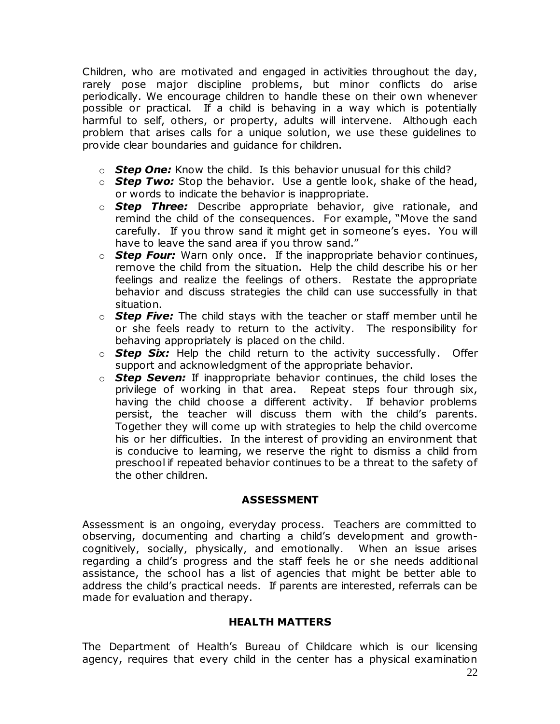Children, who are motivated and engaged in activities throughout the day, rarely pose major discipline problems, but minor conflicts do arise periodically. We encourage children to handle these on their own whenever possible or practical. If a child is behaving in a way which is potentially harmful to self, others, or property, adults will intervene. Although each problem that arises calls for a unique solution, we use these guidelines to provide clear boundaries and guidance for children.

- o *Step One:* Know the child. Is this behavior unusual for this child?
- o *Step Two:* Stop the behavior. Use a gentle look, shake of the head, or words to indicate the behavior is inappropriate.
- o *Step Three:* Describe appropriate behavior, give rationale, and remind the child of the consequences. For example, "Move the sand carefully. If you throw sand it might get in someone's eyes. You will have to leave the sand area if you throw sand."
- o *Step Four:* Warn only once. If the inappropriate behavior continues, remove the child from the situation. Help the child describe his or her feelings and realize the feelings of others. Restate the appropriate behavior and discuss strategies the child can use successfully in that situation.
- o *Step Five:* The child stays with the teacher or staff member until he or she feels ready to return to the activity. The responsibility for behaving appropriately is placed on the child.
- o *Step Six:* Help the child return to the activity successfully. Offer support and acknowledgment of the appropriate behavior.
- o *Step Seven:* If inappropriate behavior continues, the child loses the privilege of working in that area. Repeat steps four through six, having the child choose a different activity. If behavior problems persist, the teacher will discuss them with the child's parents. Together they will come up with strategies to help the child overcome his or her difficulties. In the interest of providing an environment that is conducive to learning, we reserve the right to dismiss a child from preschool if repeated behavior continues to be a threat to the safety of the other children.

# **ASSESSMENT**

Assessment is an ongoing, everyday process. Teachers are committed to observing, documenting and charting a child's development and growthcognitively, socially, physically, and emotionally. When an issue arises regarding a child's progress and the staff feels he or she needs additional assistance, the school has a list of agencies that might be better able to address the child's practical needs. If parents are interested, referrals can be made for evaluation and therapy.

# **HEALTH MATTERS**

The Department of Health's Bureau of Childcare which is our licensing agency, requires that every child in the center has a physical examination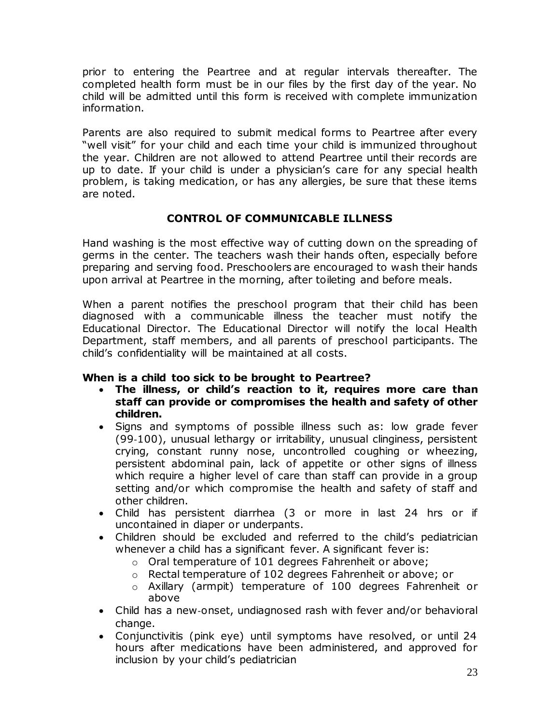prior to entering the Peartree and at regular intervals thereafter. The completed health form must be in our files by the first day of the year. No child will be admitted until this form is received with complete immunization information.

Parents are also required to submit medical forms to Peartree after every "well visit" for your child and each time your child is immunized throughout the year. Children are not allowed to attend Peartree until their records are up to date. If your child is under a physician's care for any special health problem, is taking medication, or has any allergies, be sure that these items are noted.

# **CONTROL OF COMMUNICABLE ILLNESS**

Hand washing is the most effective way of cutting down on the spreading of germs in the center. The teachers wash their hands often, especially before preparing and serving food. Preschoolers are encouraged to wash their hands upon arrival at Peartree in the morning, after toileting and before meals.

When a parent notifies the preschool program that their child has been diagnosed with a communicable illness the teacher must notify the Educational Director. The Educational Director will notify the local Health Department, staff members, and all parents of preschool participants. The child's confidentiality will be maintained at all costs.

# **When is a child too sick to be brought to Peartree?**

- **The illness, or child's reaction to it, requires more care than staff can provide or compromises the health and safety of other children.**
- Signs and symptoms of possible illness such as: low grade fever (99‐100), unusual lethargy or irritability, unusual clinginess, persistent crying, constant runny nose, uncontrolled coughing or wheezing, persistent abdominal pain, lack of appetite or other signs of illness which require a higher level of care than staff can provide in a group setting and/or which compromise the health and safety of staff and other children.
- Child has persistent diarrhea (3 or more in last 24 hrs or if uncontained in diaper or underpants.
- Children should be excluded and referred to the child's pediatrician whenever a child has a significant fever. A significant fever is:
	- o Oral temperature of 101 degrees Fahrenheit or above;
	- o Rectal temperature of 102 degrees Fahrenheit or above; or
	- o Axillary (armpit) temperature of 100 degrees Fahrenheit or above
- Child has a new‐onset, undiagnosed rash with fever and/or behavioral change.
- Conjunctivitis (pink eye) until symptoms have resolved, or until 24 hours after medications have been administered, and approved for inclusion by your child's pediatrician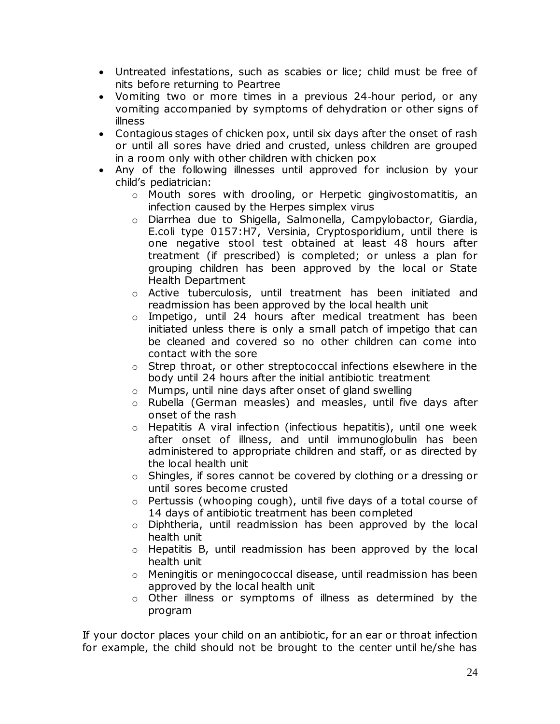- Untreated infestations, such as scabies or lice; child must be free of nits before returning to Peartree
- Vomiting two or more times in a previous 24‐hour period, or any vomiting accompanied by symptoms of dehydration or other signs of illness
- Contagious stages of chicken pox, until six days after the onset of rash or until all sores have dried and crusted, unless children are grouped in a room only with other children with chicken pox
- Any of the following illnesses until approved for inclusion by your child's pediatrician:
	- $\circ$  Mouth sores with drooling, or Herpetic gingivostomatitis, an infection caused by the Herpes simplex virus
	- o Diarrhea due to Shigella, Salmonella, Campylobactor, Giardia, E.coli type 0157:H7, Versinia, Cryptosporidium, until there is one negative stool test obtained at least 48 hours after treatment (if prescribed) is completed; or unless a plan for grouping children has been approved by the local or State Health Department
	- $\circ$  Active tuberculosis, until treatment has been initiated and readmission has been approved by the local health unit
	- o Impetigo, until 24 hours after medical treatment has been initiated unless there is only a small patch of impetigo that can be cleaned and covered so no other children can come into contact with the sore
	- $\circ$  Strep throat, or other streptococcal infections elsewhere in the body until 24 hours after the initial antibiotic treatment
	- o Mumps, until nine days after onset of gland swelling
	- o Rubella (German measles) and measles, until five days after onset of the rash
	- o Hepatitis A viral infection (infectious hepatitis), until one week after onset of illness, and until immunoglobulin has been administered to appropriate children and staff, or as directed by the local health unit
	- o Shingles, if sores cannot be covered by clothing or a dressing or until sores become crusted
	- o Pertussis (whooping cough), until five days of a total course of 14 days of antibiotic treatment has been completed
	- $\circ$  Diphtheria, until readmission has been approved by the local health unit
	- $\circ$  Hepatitis B, until readmission has been approved by the local health unit
	- $\circ$  Meningitis or meningococcal disease, until readmission has been approved by the local health unit
	- o Other illness or symptoms of illness as determined by the program

If your doctor places your child on an antibiotic, for an ear or throat infection for example, the child should not be brought to the center until he/she has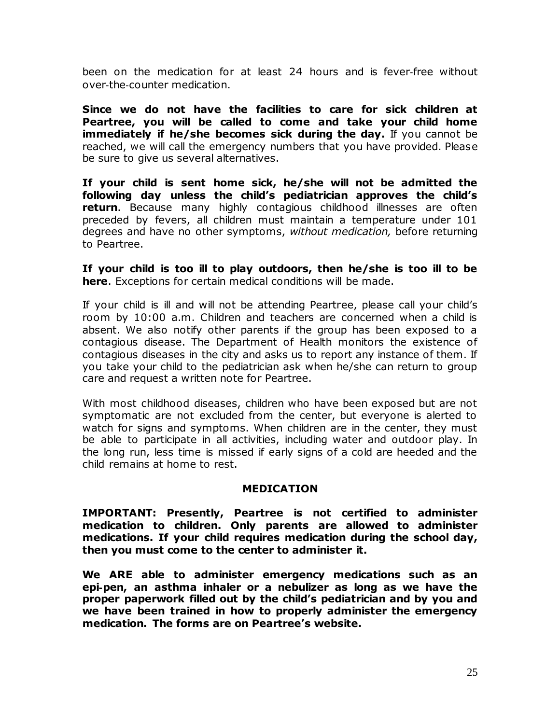been on the medication for at least 24 hours and is fever‐free without over‐the‐counter medication.

**Since we do not have the facilities to care for sick children at Peartree, you will be called to come and take your child home immediately if he/she becomes sick during the day.** If you cannot be reached, we will call the emergency numbers that you have provided. Please be sure to give us several alternatives.

**If your child is sent home sick, he/she will not be admitted the following day unless the child's pediatrician approves the child's return**. Because many highly contagious childhood illnesses are often preceded by fevers, all children must maintain a temperature under 101 degrees and have no other symptoms, *without medication,* before returning to Peartree.

**If your child is too ill to play outdoors, then he/she is too ill to be here**. Exceptions for certain medical conditions will be made.

If your child is ill and will not be attending Peartree, please call your child's room by 10:00 a.m. Children and teachers are concerned when a child is absent. We also notify other parents if the group has been exposed to a contagious disease. The Department of Health monitors the existence of contagious diseases in the city and asks us to report any instance of them. If you take your child to the pediatrician ask when he/she can return to group care and request a written note for Peartree.

With most childhood diseases, children who have been exposed but are not symptomatic are not excluded from the center, but everyone is alerted to watch for signs and symptoms. When children are in the center, they must be able to participate in all activities, including water and outdoor play. In the long run, less time is missed if early signs of a cold are heeded and the child remains at home to rest.

#### **MEDICATION**

**IMPORTANT: Presently, Peartree is not certified to administer medication to children. Only parents are allowed to administer medications. If your child requires medication during the school day, then you must come to the center to administer it.**

**We ARE able to administer emergency medications such as an epi**‐**pen, an asthma inhaler or a nebulizer as long as we have the proper paperwork filled out by the child's pediatrician and by you and we have been trained in how to properly administer the emergency medication. The forms are on Peartree's website.**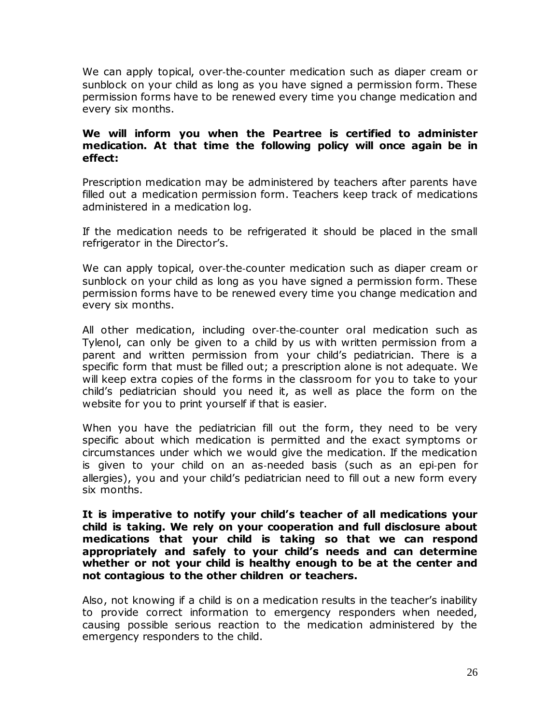We can apply topical, over-the-counter medication such as diaper cream or sunblock on your child as long as you have signed a permission form. These permission forms have to be renewed every time you change medication and every six months.

#### **We will inform you when the Peartree is certified to administer medication. At that time the following policy will once again be in effect:**

Prescription medication may be administered by teachers after parents have filled out a medication permission form. Teachers keep track of medications administered in a medication log.

If the medication needs to be refrigerated it should be placed in the small refrigerator in the Director's.

We can apply topical, over-the-counter medication such as diaper cream or sunblock on your child as long as you have signed a permission form. These permission forms have to be renewed every time you change medication and every six months.

All other medication, including over‐the‐counter oral medication such as Tylenol, can only be given to a child by us with written permission from a parent and written permission from your child's pediatrician. There is a specific form that must be filled out; a prescription alone is not adequate. We will keep extra copies of the forms in the classroom for you to take to your child's pediatrician should you need it, as well as place the form on the website for you to print yourself if that is easier.

When you have the pediatrician fill out the form, they need to be very specific about which medication is permitted and the exact symptoms or circumstances under which we would give the medication. If the medication is given to your child on an as‐needed basis (such as an epi‐pen for allergies), you and your child's pediatrician need to fill out a new form every six months.

**It is imperative to notify your child's teacher of all medications your child is taking. We rely on your cooperation and full disclosure about medications that your child is taking so that we can respond appropriately and safely to your child's needs and can determine whether or not your child is healthy enough to be at the center and not contagious to the other children or teachers.**

Also, not knowing if a child is on a medication results in the teacher's inability to provide correct information to emergency responders when needed, causing possible serious reaction to the medication administered by the emergency responders to the child.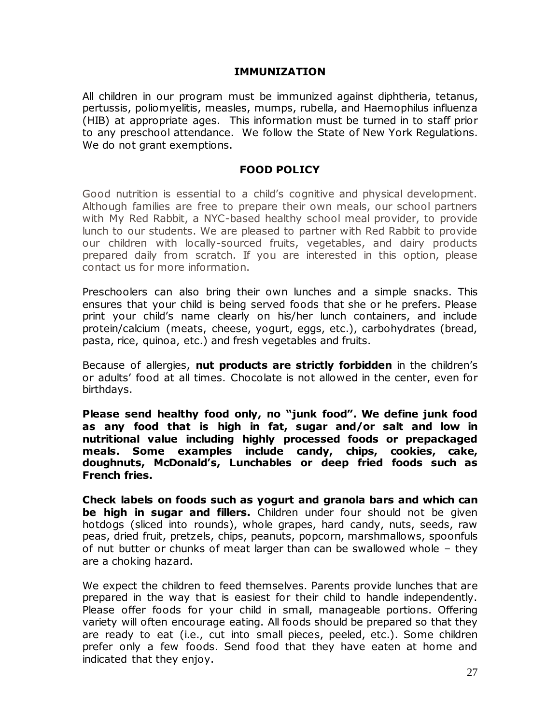#### **IMMUNIZATION**

All children in our program must be immunized against diphtheria, tetanus, pertussis, poliomyelitis, measles, mumps, rubella, and Haemophilus influenza (HIB) at appropriate ages. This information must be turned in to staff prior to any preschool attendance. We follow the State of New York Regulations. We do not grant exemptions.

#### **FOOD POLICY**

Good nutrition is essential to a child's cognitive and physical development. Although families are free to prepare their own meals, our school partners with My Red Rabbit, a NYC-based healthy school meal provider, to provide lunch to our students. We are pleased to partner with Red Rabbit to provide our children with locally-sourced fruits, vegetables, and dairy products prepared daily from scratch. If you are interested in this option, please contact us for more information.

Preschoolers can also bring their own lunches and a simple snacks. This ensures that your child is being served foods that she or he prefers. Please print your child's name clearly on his/her lunch containers, and include protein/calcium (meats, cheese, yogurt, eggs, etc.), carbohydrates (bread, pasta, rice, quinoa, etc.) and fresh vegetables and fruits.

Because of allergies, **nut products are strictly forbidden** in the children's or adults' food at all times. Chocolate is not allowed in the center, even for birthdays.

**Please send healthy food only, no "junk food". We define junk food as any food that is high in fat, sugar and/or salt and low in nutritional value including highly processed foods or prepackaged meals. Some examples include candy, chips, cookies, cake, doughnuts, McDonald's, Lunchables or deep fried foods such as French fries.** 

**Check labels on foods such as yogurt and granola bars and which can be high in sugar and fillers.** Children under four should not be given hotdogs (sliced into rounds), whole grapes, hard candy, nuts, seeds, raw peas, dried fruit, pretzels, chips, peanuts, popcorn, marshmallows, spoonfuls of nut butter or chunks of meat larger than can be swallowed whole – they are a choking hazard.

We expect the children to feed themselves. Parents provide lunches that are prepared in the way that is easiest for their child to handle independently. Please offer foods for your child in small, manageable portions. Offering variety will often encourage eating. All foods should be prepared so that they are ready to eat (i.e., cut into small pieces, peeled, etc.). Some children prefer only a few foods. Send food that they have eaten at home and indicated that they enjoy.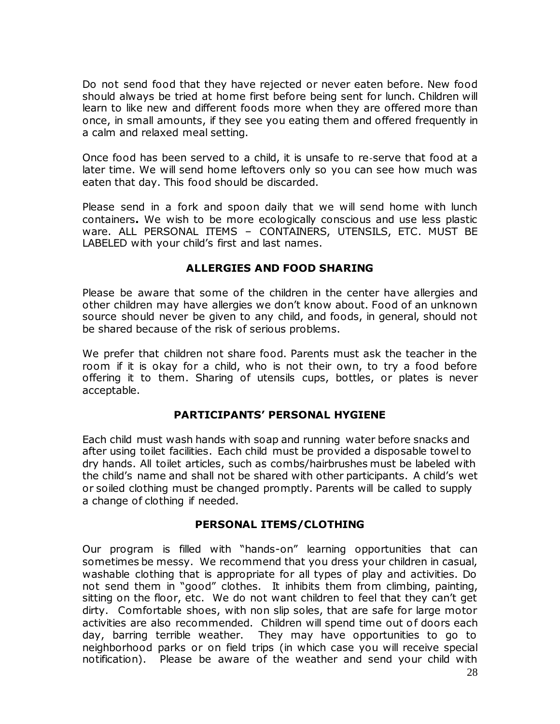Do not send food that they have rejected or never eaten before. New food should always be tried at home first before being sent for lunch. Children will learn to like new and different foods more when they are offered more than once, in small amounts, if they see you eating them and offered frequently in a calm and relaxed meal setting.

Once food has been served to a child, it is unsafe to re‐serve that food at a later time. We will send home leftovers only so you can see how much was eaten that day. This food should be discarded.

Please send in a fork and spoon daily that we will send home with lunch containers**.** We wish to be more ecologically conscious and use less plastic ware. ALL PERSONAL ITEMS – CONTAINERS, UTENSILS, ETC. MUST BE LABELED with your child's first and last names.

## **ALLERGIES AND FOOD SHARING**

Please be aware that some of the children in the center have allergies and other children may have allergies we don't know about. Food of an unknown source should never be given to any child, and foods, in general, should not be shared because of the risk of serious problems.

We prefer that children not share food. Parents must ask the teacher in the room if it is okay for a child, who is not their own, to try a food before offering it to them. Sharing of utensils cups, bottles, or plates is never acceptable.

# **PARTICIPANTS' PERSONAL HYGIENE**

Each child must wash hands with soap and running water before snacks and after using toilet facilities. Each child must be provided a disposable towel to dry hands. All toilet articles, such as combs/hairbrushes must be labeled with the child's name and shall not be shared with other participants. A child's wet or soiled clothing must be changed promptly. Parents will be called to supply a change of clothing if needed.

#### **PERSONAL ITEMS/CLOTHING**

Our program is filled with "hands-on" learning opportunities that can sometimes be messy. We recommend that you dress your children in casual, washable clothing that is appropriate for all types of play and activities. Do not send them in "good" clothes. It inhibits them from climbing, painting, sitting on the floor, etc. We do not want children to feel that they can't get dirty. Comfortable shoes, with non slip soles, that are safe for large motor activities are also recommended. Children will spend time out of doors each day, barring terrible weather. They may have opportunities to go to neighborhood parks or on field trips (in which case you will receive special notification). Please be aware of the weather and send your child with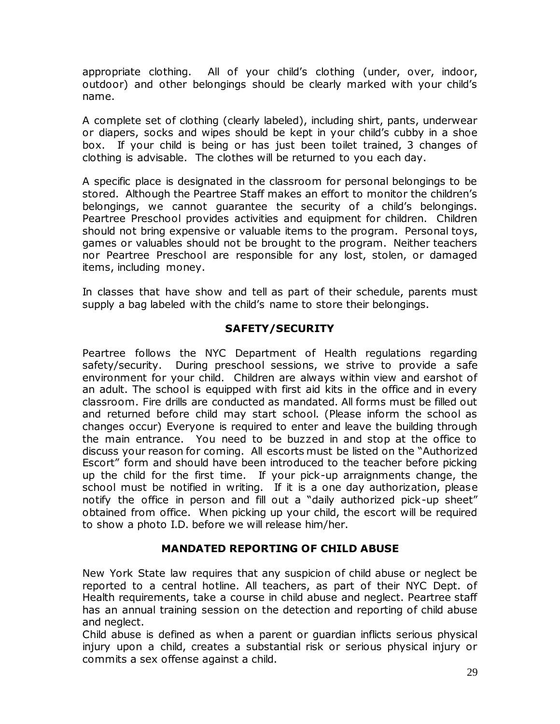appropriate clothing. All of your child's clothing (under, over, indoor, outdoor) and other belongings should be clearly marked with your child's name.

A complete set of clothing (clearly labeled), including shirt, pants, underwear or diapers, socks and wipes should be kept in your child's cubby in a shoe box. If your child is being or has just been toilet trained, 3 changes of clothing is advisable. The clothes will be returned to you each day.

A specific place is designated in the classroom for personal belongings to be stored. Although the Peartree Staff makes an effort to monitor the children's belongings, we cannot guarantee the security of a child's belongings. Peartree Preschool provides activities and equipment for children. Children should not bring expensive or valuable items to the program. Personal toys, games or valuables should not be brought to the program. Neither teachers nor Peartree Preschool are responsible for any lost, stolen, or damaged items, including money.

In classes that have show and tell as part of their schedule, parents must supply a bag labeled with the child's name to store their belongings.

# **SAFETY/SECURITY**

Peartree follows the NYC Department of Health regulations regarding safety/security. During preschool sessions, we strive to provide a safe environment for your child. Children are always within view and earshot of an adult. The school is equipped with first aid kits in the office and in every classroom. Fire drills are conducted as mandated. All forms must be filled out and returned before child may start school. (Please inform the school as changes occur) Everyone is required to enter and leave the building through the main entrance. You need to be buzzed in and stop at the office to discuss your reason for coming. All escorts must be listed on the "Authorized Escort" form and should have been introduced to the teacher before picking up the child for the first time. If your pick-up arraignments change, the school must be notified in writing. If it is a one day authorization, please notify the office in person and fill out a "daily authorized pick-up sheet" obtained from office. When picking up your child, the escort will be required to show a photo I.D. before we will release him/her.

# **MANDATED REPORTING OF CHILD ABUSE**

New York State law requires that any suspicion of child abuse or neglect be reported to a central hotline. All teachers, as part of their NYC Dept. of Health requirements, take a course in child abuse and neglect. Peartree staff has an annual training session on the detection and reporting of child abuse and neglect.

Child abuse is defined as when a parent or guardian inflicts serious physical injury upon a child, creates a substantial risk or serious physical injury or commits a sex offense against a child.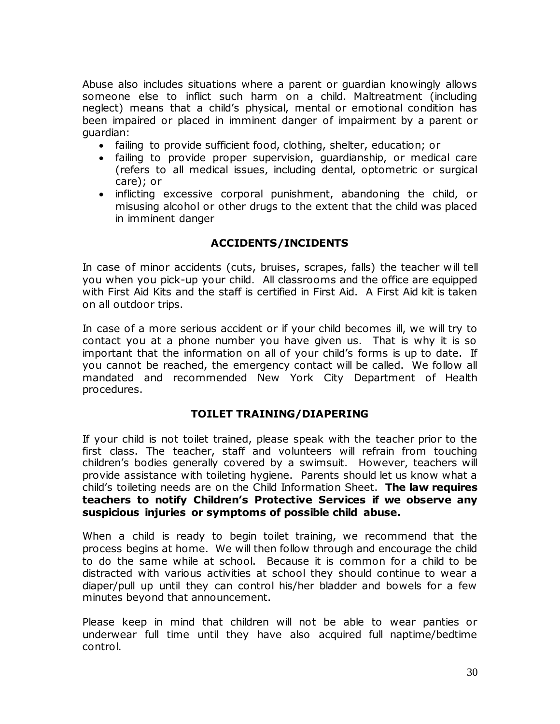Abuse also includes situations where a parent or guardian knowingly allows someone else to inflict such harm on a child. Maltreatment (including neglect) means that a child's physical, mental or emotional condition has been impaired or placed in imminent danger of impairment by a parent or guardian:

- failing to provide sufficient food, clothing, shelter, education; or
- failing to provide proper supervision, guardianship, or medical care (refers to all medical issues, including dental, optometric or surgical care); or
- inflicting excessive corporal punishment, abandoning the child, or misusing alcohol or other drugs to the extent that the child was placed in imminent danger

#### **ACCIDENTS/INCIDENTS**

In case of minor accidents (cuts, bruises, scrapes, falls) the teacher will tell you when you pick-up your child. All classrooms and the office are equipped with First Aid Kits and the staff is certified in First Aid. A First Aid kit is taken on all outdoor trips.

In case of a more serious accident or if your child becomes ill, we will try to contact you at a phone number you have given us. That is why it is so important that the information on all of your child's forms is up to date. If you cannot be reached, the emergency contact will be called. We follow all mandated and recommended New York City Department of Health procedures.

#### **TOILET TRAINING/DIAPERING**

If your child is not toilet trained, please speak with the teacher prior to the first class. The teacher, staff and volunteers will refrain from touching children's bodies generally covered by a swimsuit. However, teachers will provide assistance with toileting hygiene. Parents should let us know what a child's toileting needs are on the Child Information Sheet. **The law requires teachers to notify Children's Protective Services if we observe any suspicious injuries or symptoms of possible child abuse.**

When a child is ready to begin toilet training, we recommend that the process begins at home. We will then follow through and encourage the child to do the same while at school. Because it is common for a child to be distracted with various activities at school they should continue to wear a diaper/pull up until they can control his/her bladder and bowels for a few minutes beyond that announcement.

Please keep in mind that children will not be able to wear panties or underwear full time until they have also acquired full naptime/bedtime control.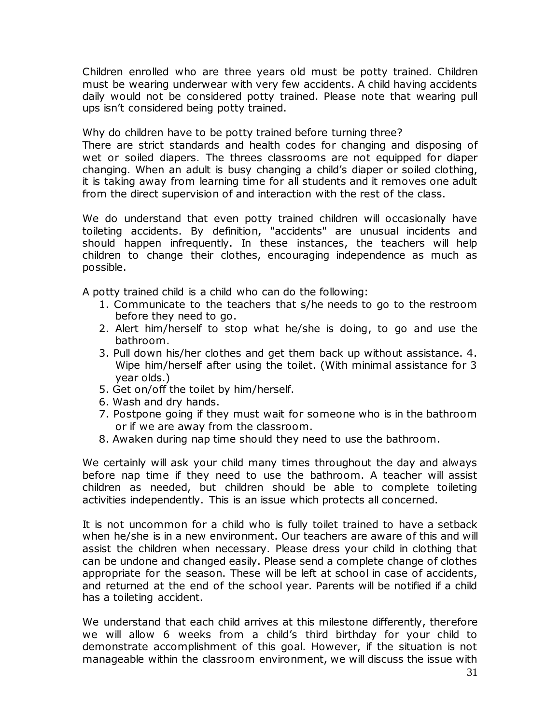Children enrolled who are three years old must be potty trained. Children must be wearing underwear with very few accidents. A child having accidents daily would not be considered potty trained. Please note that wearing pull ups isn't considered being potty trained.

Why do children have to be potty trained before turning three?

There are strict standards and health codes for changing and disposing of wet or soiled diapers. The threes classrooms are not equipped for diaper changing. When an adult is busy changing a child's diaper or soiled clothing, it is taking away from learning time for all students and it removes one adult from the direct supervision of and interaction with the rest of the class.

We do understand that even potty trained children will occasionally have toileting accidents. By definition, "accidents" are unusual incidents and should happen infrequently. In these instances, the teachers will help children to change their clothes, encouraging independence as much as possible.

A potty trained child is a child who can do the following:

- 1. Communicate to the teachers that s/he needs to go to the restroom before they need to go.
- 2. Alert him/herself to stop what he/she is doing, to go and use the bathroom.
- 3. Pull down his/her clothes and get them back up without assistance. 4. Wipe him/herself after using the toilet. (With minimal assistance for 3 year olds.)
- 5. Get on/off the toilet by him/herself.
- 6. Wash and dry hands.
- 7. Postpone going if they must wait for someone who is in the bathroom or if we are away from the classroom.
- 8. Awaken during nap time should they need to use the bathroom.

We certainly will ask your child many times throughout the day and always before nap time if they need to use the bathroom. A teacher will assist children as needed, but children should be able to complete toileting activities independently. This is an issue which protects all concerned.

It is not uncommon for a child who is fully toilet trained to have a setback when he/she is in a new environment. Our teachers are aware of this and will assist the children when necessary. Please dress your child in clothing that can be undone and changed easily. Please send a complete change of clothes appropriate for the season. These will be left at school in case of accidents, and returned at the end of the school year. Parents will be notified if a child has a toileting accident.

We understand that each child arrives at this milestone differently, therefore we will allow 6 weeks from a child's third birthday for your child to demonstrate accomplishment of this goal. However, if the situation is not manageable within the classroom environment, we will discuss the issue with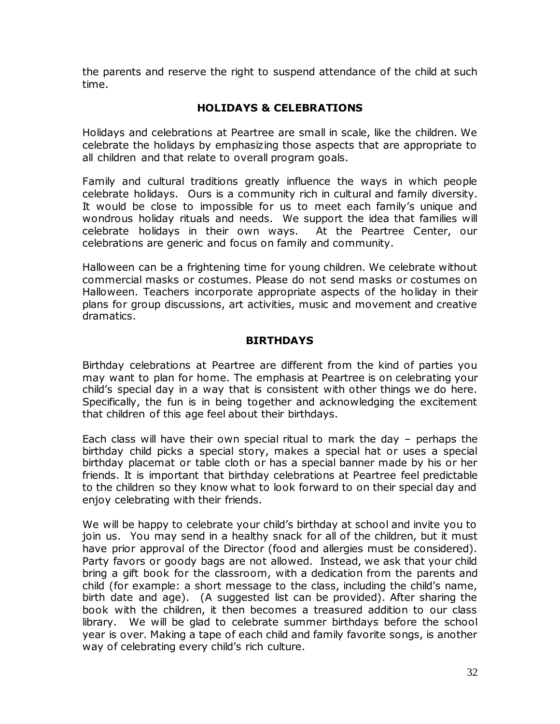the parents and reserve the right to suspend attendance of the child at such time.

# **HOLIDAYS & CELEBRATIONS**

Holidays and celebrations at Peartree are small in scale, like the children. We celebrate the holidays by emphasizing those aspects that are appropriate to all children and that relate to overall program goals.

Family and cultural traditions greatly influence the ways in which people celebrate holidays. Ours is a community rich in cultural and family diversity. It would be close to impossible for us to meet each family's unique and wondrous holiday rituals and needs. We support the idea that families will celebrate holidays in their own ways. At the Peartree Center, our celebrations are generic and focus on family and community.

Halloween can be a frightening time for young children. We celebrate without commercial masks or costumes. Please do not send masks or costumes on Halloween. Teachers incorporate appropriate aspects of the holiday in their plans for group discussions, art activities, music and movement and creative dramatics.

## **BIRTHDAYS**

Birthday celebrations at Peartree are different from the kind of parties you may want to plan for home. The emphasis at Peartree is on celebrating your child's special day in a way that is consistent with other things we do here. Specifically, the fun is in being together and acknowledging the excitement that children of this age feel about their birthdays.

Each class will have their own special ritual to mark the day – perhaps the birthday child picks a special story, makes a special hat or uses a special birthday placemat or table cloth or has a special banner made by his or her friends. It is important that birthday celebrations at Peartree feel predictable to the children so they know what to look forward to on their special day and enjoy celebrating with their friends.

We will be happy to celebrate your child's birthday at school and invite you to join us. You may send in a healthy snack for all of the children, but it must have prior approval of the Director (food and allergies must be considered). Party favors or goody bags are not allowed. Instead, we ask that your child bring a gift book for the classroom, with a dedication from the parents and child (for example: a short message to the class, including the child's name, birth date and age). (A suggested list can be provided). After sharing the book with the children, it then becomes a treasured addition to our class library. We will be glad to celebrate summer birthdays before the school year is over. Making a tape of each child and family favorite songs, is another way of celebrating every child's rich culture.